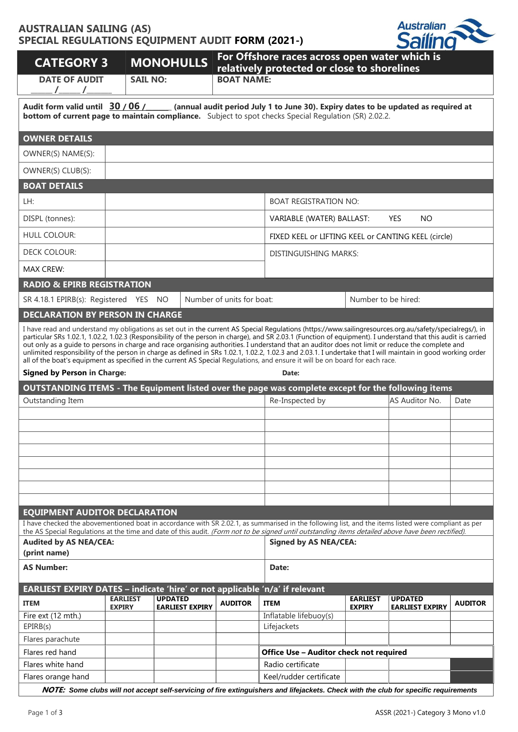## **AUSTRALIAN SAILING (AS) SPECIAL REGULATIONS EQUIPMENT AUDIT FORM (2021-)**



| <b>CATEGORY 3</b>                                                                                                                                                                                                                                                                                                                                                                                                                                                                                                                                                                                                                                                                                                                                                                                                              |                 | <b>MONOHULLS</b>       | For Offshore races across open water which is<br>relatively protected or close to shorelines |                                                                                                                                                      |                     |                         |                |  |  |
|--------------------------------------------------------------------------------------------------------------------------------------------------------------------------------------------------------------------------------------------------------------------------------------------------------------------------------------------------------------------------------------------------------------------------------------------------------------------------------------------------------------------------------------------------------------------------------------------------------------------------------------------------------------------------------------------------------------------------------------------------------------------------------------------------------------------------------|-----------------|------------------------|----------------------------------------------------------------------------------------------|------------------------------------------------------------------------------------------------------------------------------------------------------|---------------------|-------------------------|----------------|--|--|
| <b>DATE OF AUDIT</b>                                                                                                                                                                                                                                                                                                                                                                                                                                                                                                                                                                                                                                                                                                                                                                                                           |                 | <b>SAIL NO:</b>        | <b>BOAT NAME:</b>                                                                            |                                                                                                                                                      |                     |                         |                |  |  |
| Audit form valid until 30 / 06 /<br>(annual audit period July 1 to June 30). Expiry dates to be updated as required at<br><b>bottom of current page to maintain compliance.</b> Subject to spot checks Special Requlation (SR) 2.02.2.                                                                                                                                                                                                                                                                                                                                                                                                                                                                                                                                                                                         |                 |                        |                                                                                              |                                                                                                                                                      |                     |                         |                |  |  |
| <b>OWNER DETAILS</b>                                                                                                                                                                                                                                                                                                                                                                                                                                                                                                                                                                                                                                                                                                                                                                                                           |                 |                        |                                                                                              |                                                                                                                                                      |                     |                         |                |  |  |
| OWNER(S) NAME(S):                                                                                                                                                                                                                                                                                                                                                                                                                                                                                                                                                                                                                                                                                                                                                                                                              |                 |                        |                                                                                              |                                                                                                                                                      |                     |                         |                |  |  |
| OWNER(S) CLUB(S):                                                                                                                                                                                                                                                                                                                                                                                                                                                                                                                                                                                                                                                                                                                                                                                                              |                 |                        |                                                                                              |                                                                                                                                                      |                     |                         |                |  |  |
| <b>BOAT DETAILS</b>                                                                                                                                                                                                                                                                                                                                                                                                                                                                                                                                                                                                                                                                                                                                                                                                            |                 |                        |                                                                                              |                                                                                                                                                      |                     |                         |                |  |  |
| LH:                                                                                                                                                                                                                                                                                                                                                                                                                                                                                                                                                                                                                                                                                                                                                                                                                            |                 |                        |                                                                                              | <b>BOAT REGISTRATION NO:</b>                                                                                                                         |                     |                         |                |  |  |
| DISPL (tonnes):                                                                                                                                                                                                                                                                                                                                                                                                                                                                                                                                                                                                                                                                                                                                                                                                                |                 |                        |                                                                                              | VARIABLE (WATER) BALLAST:                                                                                                                            |                     | <b>YES</b><br><b>NO</b> |                |  |  |
| <b>HULL COLOUR:</b>                                                                                                                                                                                                                                                                                                                                                                                                                                                                                                                                                                                                                                                                                                                                                                                                            |                 |                        |                                                                                              | FIXED KEEL or LIFTING KEEL or CANTING KEEL (circle)                                                                                                  |                     |                         |                |  |  |
| <b>DECK COLOUR:</b>                                                                                                                                                                                                                                                                                                                                                                                                                                                                                                                                                                                                                                                                                                                                                                                                            |                 |                        |                                                                                              | DISTINGUISHING MARKS:                                                                                                                                |                     |                         |                |  |  |
| <b>MAX CREW:</b>                                                                                                                                                                                                                                                                                                                                                                                                                                                                                                                                                                                                                                                                                                                                                                                                               |                 |                        |                                                                                              |                                                                                                                                                      |                     |                         |                |  |  |
| <b>RADIO &amp; EPIRB REGISTRATION</b>                                                                                                                                                                                                                                                                                                                                                                                                                                                                                                                                                                                                                                                                                                                                                                                          |                 |                        |                                                                                              |                                                                                                                                                      |                     |                         |                |  |  |
| SR 4.18.1 EPIRB(s): Registered YES NO                                                                                                                                                                                                                                                                                                                                                                                                                                                                                                                                                                                                                                                                                                                                                                                          |                 |                        | Number of units for boat:                                                                    |                                                                                                                                                      | Number to be hired: |                         |                |  |  |
| <b>DECLARATION BY PERSON IN CHARGE</b>                                                                                                                                                                                                                                                                                                                                                                                                                                                                                                                                                                                                                                                                                                                                                                                         |                 |                        |                                                                                              |                                                                                                                                                      |                     |                         |                |  |  |
| I have read and understand my obligations as set out in the current AS Special Regulations (https://www.sailingresources.org.au/safety/specialregs/), in<br>particular SRs 1.02.1, 1.02.2, 1.02.3 (Responsibility of the person in charge), and SR 2.03.1 (Function of equipment). I understand that this audit is carried<br>out only as a quide to persons in charge and race organising authorities. I understand that an auditor does not limit or reduce the complete and<br>unlimited responsibility of the person in charge as defined in SRs 1.02.1, 1.02.2, 1.02.3 and 2.03.1. I undertake that I will maintain in good working order<br>all of the boat's equipment as specified in the current AS Special Regulations, and ensure it will be on board for each race.<br><b>Signed by Person in Charge:</b><br>Date: |                 |                        |                                                                                              |                                                                                                                                                      |                     |                         |                |  |  |
|                                                                                                                                                                                                                                                                                                                                                                                                                                                                                                                                                                                                                                                                                                                                                                                                                                |                 |                        |                                                                                              |                                                                                                                                                      |                     |                         |                |  |  |
|                                                                                                                                                                                                                                                                                                                                                                                                                                                                                                                                                                                                                                                                                                                                                                                                                                |                 |                        |                                                                                              | OUTSTANDING ITEMS - The Equipment listed over the page was complete except for the following items                                                   |                     |                         |                |  |  |
| Outstanding Item                                                                                                                                                                                                                                                                                                                                                                                                                                                                                                                                                                                                                                                                                                                                                                                                               |                 |                        |                                                                                              | Re-Inspected by                                                                                                                                      |                     | AS Auditor No.          | Date           |  |  |
|                                                                                                                                                                                                                                                                                                                                                                                                                                                                                                                                                                                                                                                                                                                                                                                                                                |                 |                        |                                                                                              |                                                                                                                                                      |                     |                         |                |  |  |
|                                                                                                                                                                                                                                                                                                                                                                                                                                                                                                                                                                                                                                                                                                                                                                                                                                |                 |                        |                                                                                              |                                                                                                                                                      |                     |                         |                |  |  |
|                                                                                                                                                                                                                                                                                                                                                                                                                                                                                                                                                                                                                                                                                                                                                                                                                                |                 |                        |                                                                                              |                                                                                                                                                      |                     |                         |                |  |  |
|                                                                                                                                                                                                                                                                                                                                                                                                                                                                                                                                                                                                                                                                                                                                                                                                                                |                 |                        |                                                                                              |                                                                                                                                                      |                     |                         |                |  |  |
|                                                                                                                                                                                                                                                                                                                                                                                                                                                                                                                                                                                                                                                                                                                                                                                                                                |                 |                        |                                                                                              |                                                                                                                                                      |                     |                         |                |  |  |
|                                                                                                                                                                                                                                                                                                                                                                                                                                                                                                                                                                                                                                                                                                                                                                                                                                |                 |                        |                                                                                              |                                                                                                                                                      |                     |                         |                |  |  |
|                                                                                                                                                                                                                                                                                                                                                                                                                                                                                                                                                                                                                                                                                                                                                                                                                                |                 |                        |                                                                                              |                                                                                                                                                      |                     |                         |                |  |  |
| <b>EQUIPMENT AUDITOR DECLARATION</b>                                                                                                                                                                                                                                                                                                                                                                                                                                                                                                                                                                                                                                                                                                                                                                                           |                 |                        |                                                                                              | I have checked the abovementioned boat in accordance with SR 2.02.1, as summarised in the following list, and the items listed were compliant as per |                     |                         |                |  |  |
|                                                                                                                                                                                                                                                                                                                                                                                                                                                                                                                                                                                                                                                                                                                                                                                                                                |                 |                        |                                                                                              | the AS Special Regulations at the time and date of this audit. (Form not to be signed until outstanding items detailed above have been rectified).   |                     |                         |                |  |  |
| <b>Audited by AS NEA/CEA:</b><br>(print name)                                                                                                                                                                                                                                                                                                                                                                                                                                                                                                                                                                                                                                                                                                                                                                                  |                 |                        |                                                                                              | <b>Signed by AS NEA/CEA:</b>                                                                                                                         |                     |                         |                |  |  |
| <b>AS Number:</b>                                                                                                                                                                                                                                                                                                                                                                                                                                                                                                                                                                                                                                                                                                                                                                                                              |                 |                        |                                                                                              | Date:                                                                                                                                                |                     |                         |                |  |  |
| EARLIEST EXPIRY DATES - indicate 'hire' or not applicable 'n/a' if relevant                                                                                                                                                                                                                                                                                                                                                                                                                                                                                                                                                                                                                                                                                                                                                    |                 |                        |                                                                                              |                                                                                                                                                      |                     |                         |                |  |  |
| <b>ITEM</b>                                                                                                                                                                                                                                                                                                                                                                                                                                                                                                                                                                                                                                                                                                                                                                                                                    | <b>EARLIEST</b> | <b>UPDATED</b>         | <b>AUDITOR</b>                                                                               | <b>ITEM</b>                                                                                                                                          | <b>EARLIEST</b>     | <b>UPDATED</b>          | <b>AUDITOR</b> |  |  |
| Fire ext (12 mth.)                                                                                                                                                                                                                                                                                                                                                                                                                                                                                                                                                                                                                                                                                                                                                                                                             | <b>EXPIRY</b>   | <b>EARLIEST EXPIRY</b> |                                                                                              | Inflatable lifebuoy(s)                                                                                                                               | <b>EXPIRY</b>       | <b>EARLIEST EXPIRY</b>  |                |  |  |
| EPIRB(s)                                                                                                                                                                                                                                                                                                                                                                                                                                                                                                                                                                                                                                                                                                                                                                                                                       |                 |                        |                                                                                              | Lifejackets                                                                                                                                          |                     |                         |                |  |  |
| Flares parachute                                                                                                                                                                                                                                                                                                                                                                                                                                                                                                                                                                                                                                                                                                                                                                                                               |                 |                        |                                                                                              |                                                                                                                                                      |                     |                         |                |  |  |
| Flares red hand<br>Flares white hand                                                                                                                                                                                                                                                                                                                                                                                                                                                                                                                                                                                                                                                                                                                                                                                           |                 |                        |                                                                                              | Office Use - Auditor check not required<br>Radio certificate                                                                                         |                     |                         |                |  |  |

**NOTE:** *Some clubs will not accept self-servicing of fire extinguishers and lifejackets. Check with the club for specific requirements*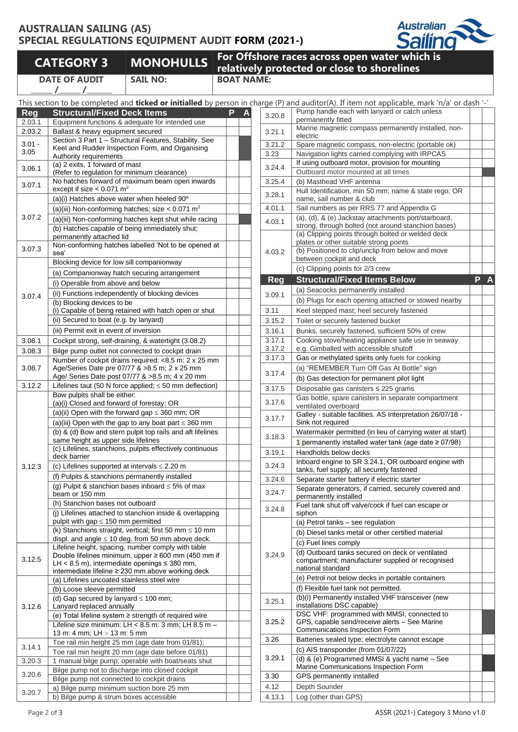## **AUSTRALIAN SAILING (AS) SPECIAL REGULATIONS EQUIPMENT AUDIT FORM (2021-)**



**DATE OF AUDIT \_\_\_\_\_\_ /\_\_\_\_\_\_ /\_\_\_\_\_\_\_**

**SAIL NO: BOAT NAME:**

**CATEGORY 3 MONOHULLS For Offshore races across open water which is relatively protected or close to shorelines**

|            | This section to be completed and <b>ticked or initialled</b> by person in                                 |   |   |
|------------|-----------------------------------------------------------------------------------------------------------|---|---|
| <b>Reg</b> | <b>Structural/Fixed Deck Items</b>                                                                        | P | Δ |
| 2.03.1     | Equipment functions & adequate for intended use                                                           |   |   |
| 2.03.2     | Ballast & heavy equipment secured                                                                         |   |   |
| $3.01 -$   | Section 3 Part 1 - Structural Features, Stability. See<br>Keel and Rudder Inspection Form, and Organising |   |   |
| 3.05       | Authority requirements                                                                                    |   |   |
| 3.06.1     | (a) 2 exits, 1 forward of mast                                                                            |   |   |
|            | (Refer to regulation for minimum clearance)                                                               |   |   |
| 3.07.1     | No hatches forward of maximum beam open inwards<br>except if size $< 0.071$ m <sup>2</sup>                |   |   |
|            | (a)(i) Hatches above water when heeled 90°                                                                |   |   |
|            | (a)(iii) Non-conforming hatches; size < $0.071$ m <sup>2</sup>                                            |   |   |
| 3.07.2     | (a)(iii) Non-conforming hatches kept shut while racing                                                    |   |   |
|            | (b) Hatches capable of being immediately shut;                                                            |   |   |
|            | permanently attached lid                                                                                  |   |   |
| 3.07.3     | Non-conforming hatches labelled 'Not to be opened at                                                      |   |   |
|            | sea'                                                                                                      |   |   |
| 3.07.4     | Blocking device for low sill companionway                                                                 |   |   |
|            | (a) Companionway hatch securing arrangement                                                               |   |   |
|            | (i) Operable from above and below                                                                         |   |   |
|            | (ii) Functions independently of blocking devices                                                          |   |   |
|            | (b) Blocking devices to be<br>(i) Capable of being retained with hatch open or shut                       |   |   |
|            | (ii) Secured to boat (e.g. by lanyard)                                                                    |   |   |
|            | (iii) Permit exit in event of inversion                                                                   |   |   |
| 3.08.1     | Cockpit strong, self-draining, & watertight (3.08.2)                                                      |   |   |
|            |                                                                                                           |   |   |
| 3.08.3     | Bilge pump outlet not connected to cockpit drain<br>Number of cockpit drains required: <8.5 m: 2 x 25 mm  |   |   |
| 3.08.7     | Age/Series Date pre 07/77 & >8.5 m; 2 x 25 mm                                                             |   |   |
|            | Age/ Series Date post 07/77 & >8.5 m; 4 x 20 mm                                                           |   |   |
| 3.12.2     | Lifelines taut (50 N force applied; $\leq$ 50 mm deflection)                                              |   |   |
|            | Bow pulpits shall be either:                                                                              |   |   |
|            | (a)(i) Closed and forward of forestay; OR                                                                 |   |   |
|            | (a)(ii) Open with the forward gap $\leq$ 360 mm; OR                                                       |   |   |
|            | (a)(iii) Open with the gap to any boat part $\leq$ 360 mm                                                 |   |   |
|            | (b) & (d) Bow and stern pulpit top rails and aft lifelines<br>same height as upper side lifelines         |   |   |
|            | (c) Lifelines, stanchions, pulpits effectively continuous                                                 |   |   |
|            | deck barrier                                                                                              |   |   |
| 3.12.3     | (c) Lifelines supported at intervals $\leq 2.20$ m                                                        |   |   |
|            | (f) Pulpits & stanchions permanently installed                                                            |   |   |
|            | (g) Pulpit & stanchion bases inboard $\leq$ 5% of max                                                     |   |   |
|            | beam or 150 mm                                                                                            |   |   |
|            | (h) Stanchion bases not outboard<br>(j) Lifelines attached to stanchion inside & overlapping              |   |   |
|            | pulpit with gap $\leq$ 150 mm permitted                                                                   |   |   |
|            | (k) Stanchions straight, vertical; first 50 mm $\leq 10$ mm                                               |   |   |
|            | displ. and angle $\leq 10$ deg. from 50 mm above deck.                                                    |   |   |
|            | Lifeline height, spacing, number comply with table                                                        |   |   |
| 3.12.5     | Double lifelines minimum, upper ≥ 600 mm (450 mm if                                                       |   |   |
|            | LH < 8.5 m), intermediate openings $\leq$ 380 mm,<br>intermediate lifeline ≥ 230 mm above working deck    |   |   |
|            | (a) Lifelines uncoated stainless steel wire                                                               |   |   |
|            | (b) Loose sleeve permitted                                                                                |   |   |
|            | (d) Gap secured by lanyard $\leq 100$ mm;                                                                 |   |   |
| 3.12.6     | Lanyard replaced annually                                                                                 |   |   |
|            | (e) Total lifeline system ≥ strength of required wire                                                     |   |   |
|            | Lifeline size minimum: LH < 8.5 m: 3 mm; LH 8.5 m -                                                       |   |   |
|            | 13 m: 4 mm; LH > 13 m: 5 mm<br>Toe rail min height 25 mm (age date from 01/81);                           |   |   |
| 3.14.1     |                                                                                                           |   |   |
| 3.20.3     | Toe rail min height 20 mm (age date before 01/81)<br>1 manual bilge pump; operable with boat/seats shut   |   |   |
|            | Bilge pump not to discharge into closed cockpit                                                           |   |   |
| 3.20.6     | Bilge pump not connected to cockpit drains                                                                |   |   |
|            | a) Bilge pump minimum suction bore 25 mm                                                                  |   |   |
| 3.20.7     | b) Bilge pump & strum boxes accessible                                                                    |   |   |
|            |                                                                                                           |   |   |

|            |                                                                                                              |   |            | This section to be completed and <b>ticked or initialled</b> by person in charge (P) and auditor(A). If item not applicable, mark 'n/a' or dash '-' |     |
|------------|--------------------------------------------------------------------------------------------------------------|---|------------|-----------------------------------------------------------------------------------------------------------------------------------------------------|-----|
| <b>Reg</b> | <b>Structural/Fixed Deck Items</b>                                                                           | P | 3.20.8     | Pump handle each with lanyard or catch unless                                                                                                       |     |
| 2.03.1     | Equipment functions & adequate for intended use                                                              |   |            | permanently fitted                                                                                                                                  |     |
| 2.03.2     | Ballast & heavy equipment secured                                                                            |   | 3.21.1     | Marine magnetic compass permanently installed, non-<br>electric                                                                                     |     |
| $3.01 -$   | Section 3 Part 1 - Structural Features, Stability. See                                                       |   | 3.21.2     | Spare magnetic compass, non-electric (portable ok)                                                                                                  |     |
| 3.05       | Keel and Rudder Inspection Form, and Organising                                                              |   | 3.23       | Navigation lights carried complying with IRPCAS                                                                                                     |     |
|            | Authority requirements<br>(a) 2 exits, 1 forward of mast                                                     |   |            | If using outboard motor, provision for mounting                                                                                                     |     |
| 3.06.1     | (Refer to regulation for minimum clearance)                                                                  |   | 3.24.4     | Outboard motor mounted at all times                                                                                                                 |     |
| 3.07.1     | No hatches forward of maximum beam open inwards                                                              |   | 3.25.4     | (b) Masthead VHF antenna                                                                                                                            |     |
|            | except if size $< 0.071$ m <sup>2</sup>                                                                      |   | 3.28.1     | Hull Identification, min 50 mm; name & state rego; OR                                                                                               |     |
|            | (a)(i) Hatches above water when heeled 90°                                                                   |   |            | name, sail number & club                                                                                                                            |     |
|            | (a)(iii) Non-conforming hatches; size $< 0.071$ m <sup>2</sup>                                               |   | 4.01.1     | Sail numbers as per RRS 77 and Appendix G                                                                                                           |     |
| 3.07.2     | (a)(iii) Non-conforming hatches kept shut while racing                                                       |   | 4.03.1     | (a), (d), & (e) Jackstay attachments port/starboard,                                                                                                |     |
|            | (b) Hatches capable of being immediately shut;                                                               |   |            | strong, through bolted (not around stanchion bases)<br>(a) Clipping points through bolted or welded deck                                            |     |
|            | permanently attached lid                                                                                     |   |            | plates or other suitable strong points                                                                                                              |     |
| 3.07.3     | Non-conforming hatches labelled 'Not to be opened at<br>sea'                                                 |   | 4.03.2     | (b) Positioned to clip/unclip from below and move                                                                                                   |     |
|            | Blocking device for low sill companionway                                                                    |   |            | between cockpit and deck                                                                                                                            |     |
|            | (a) Companionway hatch securing arrangement                                                                  |   |            | (c) Clipping points for 2/3 crew                                                                                                                    |     |
|            | (i) Operable from above and below                                                                            |   | <b>Reg</b> | <b>Structural/Fixed Items Below</b>                                                                                                                 | P A |
|            |                                                                                                              |   |            | (a) Seacocks permanently installed                                                                                                                  |     |
| 3.07.4     | (ii) Functions independently of blocking devices<br>(b) Blocking devices to be                               |   | 3.09.1     | (b) Plugs for each opening attached or stowed nearby                                                                                                |     |
|            | (i) Capable of being retained with hatch open or shut                                                        |   | 3.11       | Keel stepped mast; heel securely fastened                                                                                                           |     |
|            | (ii) Secured to boat (e.g. by lanyard)                                                                       |   | 3.15.2     | Toilet or securely fastened bucket                                                                                                                  |     |
|            | (iii) Permit exit in event of inversion                                                                      |   | 3.16.1     | Bunks, securely fastened, sufficient 50% of crew                                                                                                    |     |
| 3.08.1     | Cockpit strong, self-draining, & watertight (3.08.2)                                                         |   | 3.17.1     | Cooking stove/heating appliance safe use in seaway                                                                                                  |     |
| 3.08.3     | Bilge pump outlet not connected to cockpit drain                                                             |   | 3.17.2     | e.g. Gimballed with accessible shutoff                                                                                                              |     |
|            | Number of cockpit drains required: <8.5 m: 2 x 25 mm                                                         |   | 3.17.3     | Gas or methylated spirits only fuels for cooking                                                                                                    |     |
| 3.08.7     | Age/Series Date pre 07/77 & >8.5 m; 2 x 25 mm                                                                |   |            | (a) "REMEMBER Turn Off Gas At Bottle" sign                                                                                                          |     |
|            | Age/ Series Date post 07/77 & >8.5 m; 4 x 20 mm                                                              |   | 3.17.4     | (b) Gas detection for permanent pilot light                                                                                                         |     |
| 3.12.2     | Lifelines taut (50 N force applied; $\leq$ 50 mm deflection)                                                 |   | 3.17.5     | Disposable gas canisters ≤ 225 grams                                                                                                                |     |
|            | Bow pulpits shall be either:                                                                                 |   |            | Gas bottle, spare canisters in separate compartment                                                                                                 |     |
|            | (a)(i) Closed and forward of forestay; OR                                                                    |   | 3.17.6     | ventilated overboard                                                                                                                                |     |
|            | (a)(ii) Open with the forward gap $\leq$ 360 mm; OR                                                          |   | 3.17.7     | Galley - suitable facilities. AS Interpretation 26/07/18 -                                                                                          |     |
|            | (a)(iii) Open with the gap to any boat part $\leq$ 360 mm                                                    |   |            | Sink not required                                                                                                                                   |     |
|            | (b) & (d) Bow and stern pulpit top rails and aft lifelines                                                   |   | 3.18.3     | Watermaker permitted (in lieu of carrying water at start)                                                                                           |     |
|            | same height as upper side lifelines<br>(c) Lifelines, stanchions, pulpits effectively continuous             |   |            | 1 permanently installed water tank (age date $\geq$ 07/98)                                                                                          |     |
|            | deck barrier                                                                                                 |   | 3.19.1     | Handholds below decks                                                                                                                               |     |
| 3.12.3     | (c) Lifelines supported at intervals $\leq$ 2.20 m                                                           |   | 3.24.3     | Inboard engine to SR 3.24.1, OR outboard engine with                                                                                                |     |
|            | (f) Pulpits & stanchions permanently installed                                                               |   |            | tanks, fuel supply; all securely fastened                                                                                                           |     |
|            | (g) Pulpit & stanchion bases inboard $\leq 5\%$ of max                                                       |   | 3.24.6     | Separate starter battery if electric starter<br>Separate generators, if carried, securely covered and                                               |     |
|            | beam or 150 mm                                                                                               |   | 3.24.7     | permanently installed                                                                                                                               |     |
|            | (h) Stanchion bases not outboard                                                                             |   |            | Fuel tank shut off valve/cock if fuel can escape or                                                                                                 |     |
|            | (i) Lifelines attached to stanchion inside & overlapping                                                     |   | 3.24.8     | siphon                                                                                                                                              |     |
|            | pulpit with gap $\leq$ 150 mm permitted                                                                      |   |            | (a) Petrol tanks - see regulation                                                                                                                   |     |
|            | (k) Stanchions straight, vertical; first 50 mm $\leq 10$ mm                                                  |   |            | (b) Diesel tanks metal or other certified material                                                                                                  |     |
|            | displ. and angle $\leq 10$ deg. from 50 mm above deck.<br>Lifeline height, spacing, number comply with table |   |            | (c) Fuel lines comply                                                                                                                               |     |
|            | Double lifelines minimum, upper ≥ 600 mm (450 mm if                                                          |   | 3.24.9     | (d) Outboard tanks secured on deck or ventilated                                                                                                    |     |
| 3.12.5     | LH < 8.5 m), intermediate openings $\leq$ 380 mm,                                                            |   |            | compartment; manufacturer supplied or recognised                                                                                                    |     |
|            | intermediate lifeline ≥ 230 mm above working deck                                                            |   |            | national standard<br>(e) Petrol not below decks in portable containers                                                                              |     |
|            | (a) Lifelines uncoated stainless steel wire                                                                  |   |            |                                                                                                                                                     |     |
|            | (b) Loose sleeve permitted                                                                                   |   |            | (f) Flexible fuel tank not permitted.                                                                                                               |     |
|            | (d) Gap secured by lanyard $\leq 100$ mm;<br>Lanyard replaced annually                                       |   | 3.25.1     | (b)(i) Permanently installed VHF transceiver (new<br>installations DSC capable)                                                                     |     |
| 3.12.6     | (e) Total lifeline system $\ge$ strength of required wire                                                    |   |            | DSC VHF: programmed with MMSI, connected to                                                                                                         |     |
|            | Lifeline size minimum: LH < 8.5 m: 3 mm; LH 8.5 m -                                                          |   | 3.25.2     | GPS, capable send/receive alerts - See Marine                                                                                                       |     |
|            | 13 m: 4 mm; LH > 13 m: 5 mm                                                                                  |   |            | Communications Inspection Form                                                                                                                      |     |
|            | Toe rail min height 25 mm (age date from 01/81);                                                             |   | 3.26       | Batteries sealed type; electrolyte cannot escape                                                                                                    |     |
| 3.14.1     | Toe rail min height 20 mm (age date before 01/81)                                                            |   |            | (c) AIS transponder (from $01/07/22$ )                                                                                                              |     |
| 3.20.3     | 1 manual bilge pump; operable with boat/seats shut                                                           |   | 3.29.1     | (d) & (e) Programmed MMSI & yacht name - See                                                                                                        |     |
| 3.20.6     | Bilge pump not to discharge into closed cockpit                                                              |   |            | Marine Communications Inspection Form                                                                                                               |     |
|            | Bilge pump not connected to cockpit drains                                                                   |   | 3.30       | GPS permanently installed                                                                                                                           |     |
| 3.20.7     | a) Bilge pump minimum suction bore 25 mm                                                                     |   | 4.12       | Depth Sounder                                                                                                                                       |     |
|            | b) Bilge pump & strum boxes accessible                                                                       |   | 4.13.1     | Log (other than GPS)                                                                                                                                |     |